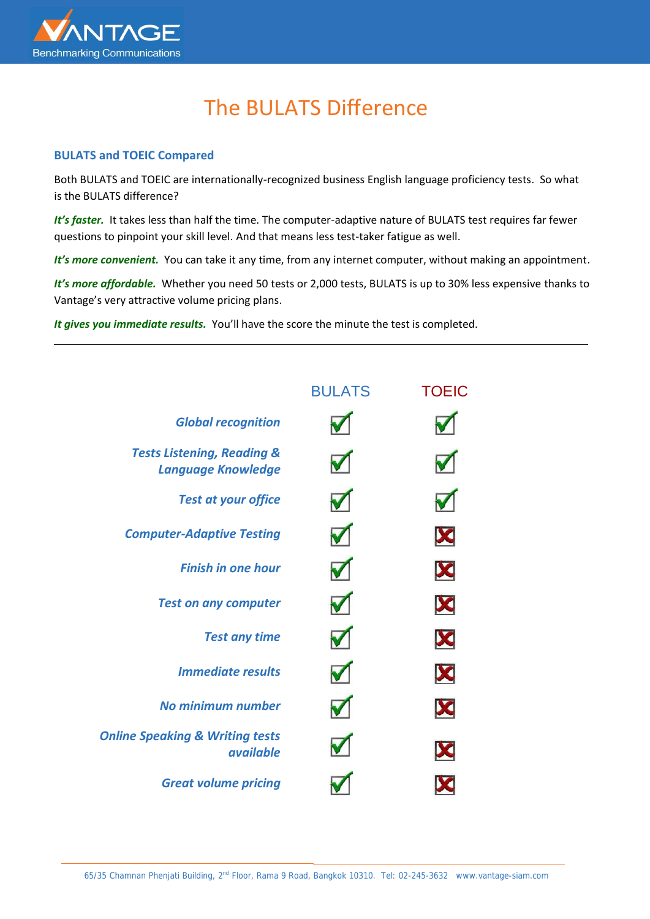

## The BULATS Difference

## **BULATS and TOEIC Compared**

Both BULATS and TOEIC are internationally-recognized business English language proficiency tests. So what is the BULATS difference?

*It's faster.* It takes less than half the time. The computer-adaptive nature of BULATS test requires far fewer questions to pinpoint your skill level. And that means less test-taker fatigue as well.

It's more convenient. You can take it any time, from any internet computer, without making an appointment.

It's more affordable. Whether you need 50 tests or 2,000 tests, BULATS is up to 30% less expensive thanks to Vantage's very attractive volume pricing plans.

*It gives you immediate results.* You'll have the score the minute the test is completed.

|                                                                    | <b>BULATS</b> | <b>TOEIC</b> |
|--------------------------------------------------------------------|---------------|--------------|
| <b>Global recognition</b>                                          |               |              |
| <b>Tests Listening, Reading &amp;</b><br><b>Language Knowledge</b> |               |              |
| <b>Test at your office</b>                                         |               |              |
| <b>Computer-Adaptive Testing</b>                                   |               | X            |
| <b>Finish in one hour</b>                                          |               | X            |
| <b>Test on any computer</b>                                        |               | X            |
| <b>Test any time</b>                                               |               | X            |
| <b>Immediate results</b>                                           |               | X            |
| No minimum number                                                  |               | X            |
| <b>Online Speaking &amp; Writing tests</b><br><i>available</i>     |               |              |
| <b>Great volume pricing</b>                                        |               |              |